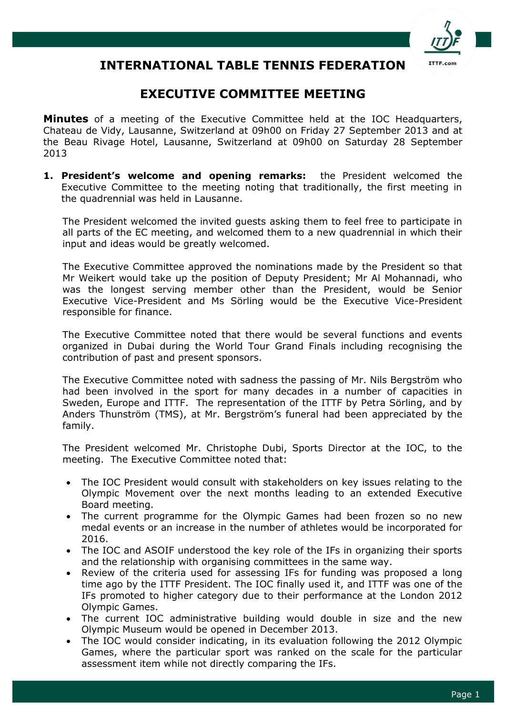

# **INTERNATIONAL TABLE TENNIS FEDERATION**

# **EXECUTIVE COMMITTEE MEETING**

**Minutes** of a meeting of the Executive Committee held at the IOC Headquarters, Chateau de Vidy, Lausanne, Switzerland at 09h00 on Friday 27 September 2013 and at the Beau Rivage Hotel, Lausanne, Switzerland at 09h00 on Saturday 28 September 2013

**1. President's welcome and opening remarks:** the President welcomed the Executive Committee to the meeting noting that traditionally, the first meeting in the quadrennial was held in Lausanne.

The President welcomed the invited guests asking them to feel free to participate in all parts of the EC meeting, and welcomed them to a new quadrennial in which their input and ideas would be greatly welcomed.

The Executive Committee approved the nominations made by the President so that Mr Weikert would take up the position of Deputy President; Mr Al Mohannadi, who was the longest serving member other than the President, would be Senior Executive Vice-President and Ms Sörling would be the Executive Vice-President responsible for finance.

The Executive Committee noted that there would be several functions and events organized in Dubai during the World Tour Grand Finals including recognising the contribution of past and present sponsors.

The Executive Committee noted with sadness the passing of Mr. Nils Bergström who had been involved in the sport for many decades in a number of capacities in Sweden, Europe and ITTF. The representation of the ITTF by Petra Sörling, and by Anders Thunström (TMS), at Mr. Bergström's funeral had been appreciated by the family.

The President welcomed Mr. Christophe Dubi, Sports Director at the IOC, to the meeting. The Executive Committee noted that:

- The IOC President would consult with stakeholders on key issues relating to the Olympic Movement over the next months leading to an extended Executive Board meeting.
- The current programme for the Olympic Games had been frozen so no new medal events or an increase in the number of athletes would be incorporated for 2016.
- The IOC and ASOIF understood the key role of the IFs in organizing their sports and the relationship with organising committees in the same way.
- Review of the criteria used for assessing IFs for funding was proposed a long time ago by the ITTF President. The IOC finally used it, and ITTF was one of the IFs promoted to higher category due to their performance at the London 2012 Olympic Games.
- The current IOC administrative building would double in size and the new Olympic Museum would be opened in December 2013.
- The IOC would consider indicating, in its evaluation following the 2012 Olympic Games, where the particular sport was ranked on the scale for the particular assessment item while not directly comparing the IFs.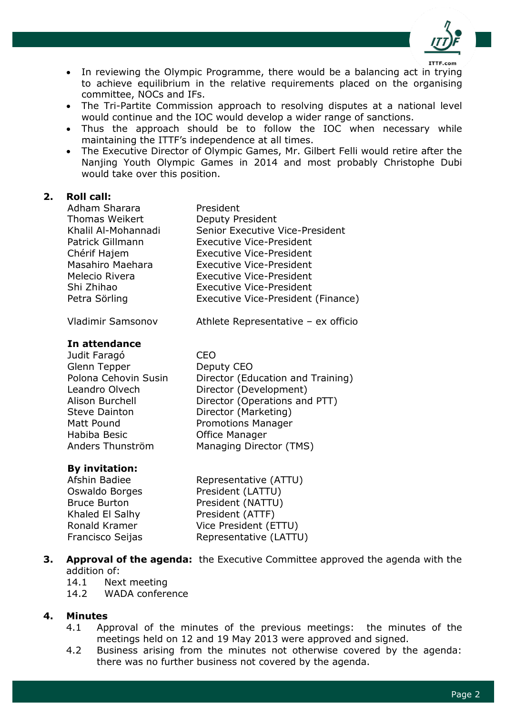

- In reviewing the Olympic Programme, there would be a balancing act in trying to achieve equilibrium in the relative requirements placed on the organising committee, NOCs and IFs.
- The Tri-Partite Commission approach to resolving disputes at a national level would continue and the IOC would develop a wider range of sanctions.
- Thus the approach should be to follow the IOC when necessary while maintaining the ITTF's independence at all times.
- The Executive Director of Olympic Games, Mr. Gilbert Felli would retire after the Nanjing Youth Olympic Games in 2014 and most probably Christophe Dubi would take over this position.

#### **2. Roll call:**

| Adham Sharara        | President                           |
|----------------------|-------------------------------------|
| Thomas Weikert       | Deputy President                    |
| Khalil Al-Mohannadi  | Senior Executive Vice-President     |
| Patrick Gillmann     | Executive Vice-President            |
| Chérif Hajem         | Executive Vice-President            |
| Masahiro Maehara     | Executive Vice-President            |
| Melecio Rivera       | Executive Vice-President            |
| Shi Zhihao           | <b>Executive Vice-President</b>     |
| Petra Sörling        | Executive Vice-President (Finance)  |
| Vladimir Samsonov    | Athlete Representative - ex officio |
| In attendance        |                                     |
| Judit Faragó         | CEO                                 |
| Glenn Tepper         | Deputy CEO                          |
| Polona Cehovin Susin | Director (Education and Training)   |
| Leandro Olvech       | Director (Development)              |
| Alison Burchell      | Director (Operations and PTT)       |

Steve Dainton **Director (Marketing)** Matt Pound Promotions Manager Habiba Besic Office Manager Anders Thunström Managing Director (TMS)

## **By invitation:**

| Afshin Badiee       | Representative (ATTU)  |
|---------------------|------------------------|
| Oswaldo Borges      | President (LATTU)      |
| <b>Bruce Burton</b> | President (NATTU)      |
| Khaled El Salhy     | President (ATTF)       |
| Ronald Kramer       | Vice President (ETTU)  |
| Francisco Seijas    | Representative (LATTU) |
|                     |                        |

**3. Approval of the agenda:** the Executive Committee approved the agenda with the addition of:

14.1 Next meeting

14.2 WADA conference

## **4. Minutes**

- 4.1 Approval of the minutes of the previous meetings: the minutes of the meetings held on 12 and 19 May 2013 were approved and signed.
- 4.2 Business arising from the minutes not otherwise covered by the agenda: there was no further business not covered by the agenda.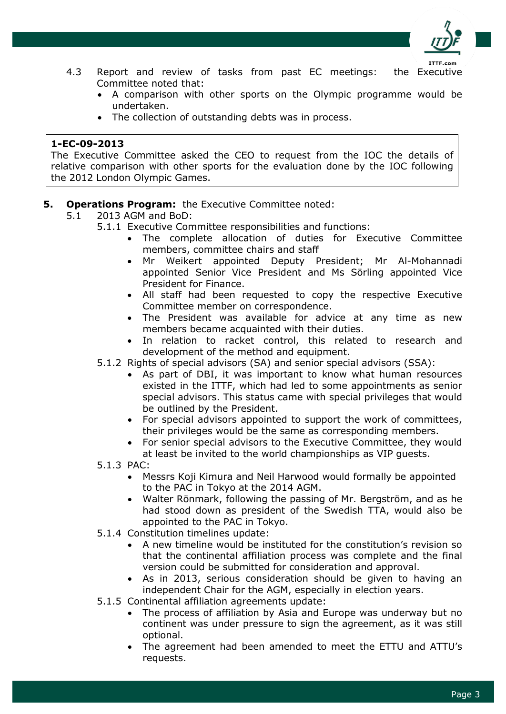

- 4.3 Report and review of tasks from past EC meetings: the Executive Committee noted that:
	- A comparison with other sports on the Olympic programme would be undertaken.
	- The collection of outstanding debts was in process.

The Executive Committee asked the CEO to request from the IOC the details of relative comparison with other sports for the evaluation done by the IOC following the 2012 London Olympic Games.

- **5. Operations Program:** the Executive Committee noted:
	- 5.1 2013 AGM and BoD:
		- 5.1.1 Executive Committee responsibilities and functions:
			- The complete allocation of duties for Executive Committee members, committee chairs and staff
			- Mr Weikert appointed Deputy President; Mr Al-Mohannadi appointed Senior Vice President and Ms Sörling appointed Vice President for Finance.
			- All staff had been requested to copy the respective Executive Committee member on correspondence.
			- The President was available for advice at any time as new members became acquainted with their duties.
			- In relation to racket control, this related to research and development of the method and equipment.
		- 5.1.2 Rights of special advisors (SA) and senior special advisors (SSA):
			- As part of DBI, it was important to know what human resources existed in the ITTF, which had led to some appointments as senior special advisors. This status came with special privileges that would be outlined by the President.
			- For special advisors appointed to support the work of committees, their privileges would be the same as corresponding members.
			- For senior special advisors to the Executive Committee, they would at least be invited to the world championships as VIP guests.
		- 5.1.3 PAC:
			- Messrs Koji Kimura and Neil Harwood would formally be appointed to the PAC in Tokyo at the 2014 AGM.
			- Walter Rönmark, following the passing of Mr. Bergström, and as he had stood down as president of the Swedish TTA, would also be appointed to the PAC in Tokyo.
		- 5.1.4 Constitution timelines update:
			- A new timeline would be instituted for the constitution's revision so that the continental affiliation process was complete and the final version could be submitted for consideration and approval.
			- As in 2013, serious consideration should be given to having an independent Chair for the AGM, especially in election years.
		- 5.1.5 Continental affiliation agreements update:
			- The process of affiliation by Asia and Europe was underway but no continent was under pressure to sign the agreement, as it was still optional.
			- The agreement had been amended to meet the ETTU and ATTU's requests.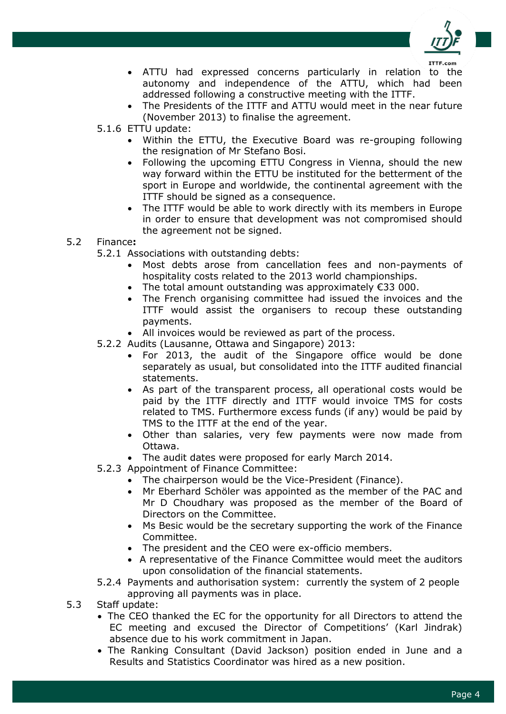

- ATTU had expressed concerns particularly in relation to the autonomy and independence of the ATTU, which had been addressed following a constructive meeting with the ITTF.
- The Presidents of the ITTF and ATTU would meet in the near future (November 2013) to finalise the agreement.
- 5.1.6 ETTU update:
	- Within the ETTU, the Executive Board was re-grouping following the resignation of Mr Stefano Bosi.
	- Following the upcoming ETTU Congress in Vienna, should the new way forward within the ETTU be instituted for the betterment of the sport in Europe and worldwide, the continental agreement with the ITTF should be signed as a consequence.
	- The ITTF would be able to work directly with its members in Europe in order to ensure that development was not compromised should the agreement not be signed.
- 5.2 Finance**:**
	- 5.2.1 Associations with outstanding debts:
		- Most debts arose from cancellation fees and non-payments of hospitality costs related to the 2013 world championships.
		- The total amount outstanding was approximately €33 000.
		- The French organising committee had issued the invoices and the ITTF would assist the organisers to recoup these outstanding payments.
		- All invoices would be reviewed as part of the process.
	- 5.2.2 Audits (Lausanne, Ottawa and Singapore) 2013:
		- For 2013, the audit of the Singapore office would be done separately as usual, but consolidated into the ITTF audited financial statements.
		- As part of the transparent process, all operational costs would be paid by the ITTF directly and ITTF would invoice TMS for costs related to TMS. Furthermore excess funds (if any) would be paid by TMS to the ITTF at the end of the year.
		- Other than salaries, very few payments were now made from Ottawa.
		- The audit dates were proposed for early March 2014.
	- 5.2.3 Appointment of Finance Committee:
		- The chairperson would be the Vice-President (Finance).
		- Mr Eberhard Schöler was appointed as the member of the PAC and Mr D Choudhary was proposed as the member of the Board of Directors on the Committee.
		- Ms Besic would be the secretary supporting the work of the Finance Committee.
		- The president and the CEO were ex-officio members.
		- A representative of the Finance Committee would meet the auditors upon consolidation of the financial statements.
	- 5.2.4 Payments and authorisation system: currently the system of 2 people approving all payments was in place.
- 5.3 Staff update:
	- The CEO thanked the EC for the opportunity for all Directors to attend the EC meeting and excused the Director of Competitions' (Karl Jindrak) absence due to his work commitment in Japan.
	- The Ranking Consultant (David Jackson) position ended in June and a Results and Statistics Coordinator was hired as a new position.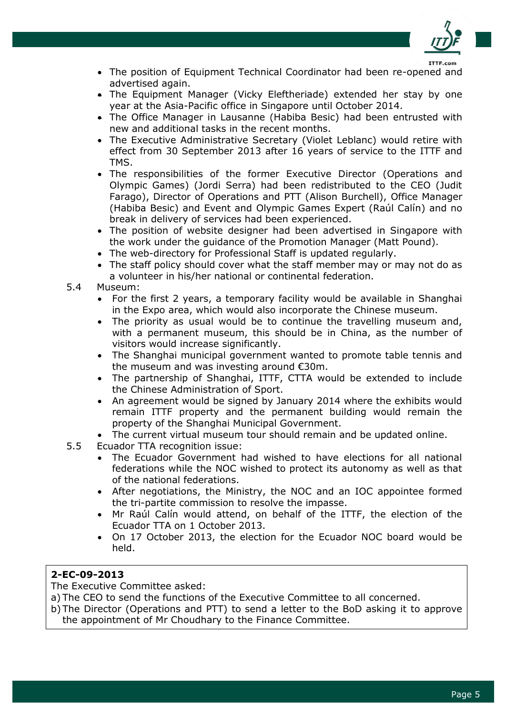

- The position of Equipment Technical Coordinator had been re-opened and advertised again.
- The Equipment Manager (Vicky Eleftheriade) extended her stay by one year at the Asia-Pacific office in Singapore until October 2014.
- The Office Manager in Lausanne (Habiba Besic) had been entrusted with new and additional tasks in the recent months.
- The Executive Administrative Secretary (Violet Leblanc) would retire with effect from 30 September 2013 after 16 years of service to the ITTF and TMS.
- The responsibilities of the former Executive Director (Operations and Olympic Games) (Jordi Serra) had been redistributed to the CEO (Judit Farago), Director of Operations and PTT (Alison Burchell), Office Manager (Habiba Besic) and Event and Olympic Games Expert (Raúl Calín) and no break in delivery of services had been experienced.
- The position of website designer had been advertised in Singapore with the work under the guidance of the Promotion Manager (Matt Pound).
- The web-directory for Professional Staff is updated regularly.
- The staff policy should cover what the staff member may or may not do as a volunteer in his/her national or continental federation.

## 5.4 Museum:

- For the first 2 years, a temporary facility would be available in Shanghai in the Expo area, which would also incorporate the Chinese museum.
- The priority as usual would be to continue the travelling museum and, with a permanent museum, this should be in China, as the number of visitors would increase significantly.
- The Shanghai municipal government wanted to promote table tennis and the museum and was investing around €30m.
- The partnership of Shanghai, ITTF, CTTA would be extended to include the Chinese Administration of Sport.
- An agreement would be signed by January 2014 where the exhibits would remain ITTF property and the permanent building would remain the property of the Shanghai Municipal Government.
- The current virtual museum tour should remain and be updated online.
- 5.5 Ecuador TTA recognition issue:
	- The Ecuador Government had wished to have elections for all national federations while the NOC wished to protect its autonomy as well as that of the national federations.
	- After negotiations, the Ministry, the NOC and an IOC appointee formed the tri-partite commission to resolve the impasse.
	- Mr Raúl Calín would attend, on behalf of the ITTF, the election of the Ecuador TTA on 1 October 2013.
	- On 17 October 2013, the election for the Ecuador NOC board would be held.

## **2-EC-09-2013**

The Executive Committee asked:

a) The CEO to send the functions of the Executive Committee to all concerned.

b) The Director (Operations and PTT) to send a letter to the BoD asking it to approve the appointment of Mr Choudhary to the Finance Committee.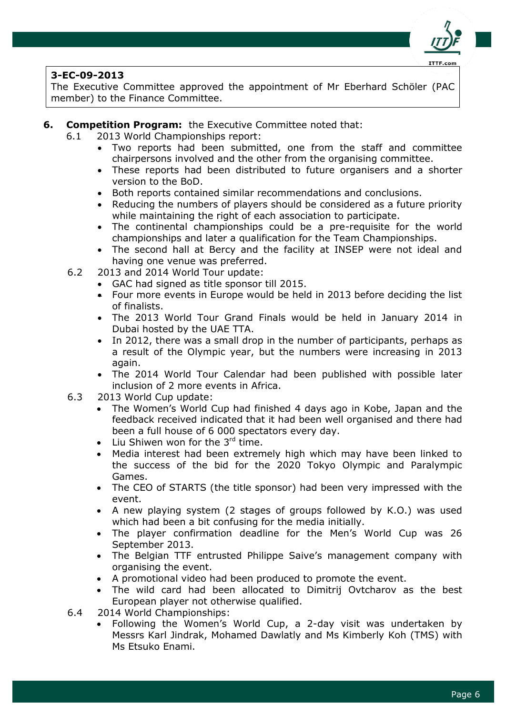

The Executive Committee approved the appointment of Mr Eberhard Schöler (PAC member) to the Finance Committee.

- **6. Competition Program:** the Executive Committee noted that:
	- 6.1 2013 World Championships report:
		- Two reports had been submitted, one from the staff and committee chairpersons involved and the other from the organising committee.
		- These reports had been distributed to future organisers and a shorter version to the BoD.
		- Both reports contained similar recommendations and conclusions.
		- Reducing the numbers of players should be considered as a future priority while maintaining the right of each association to participate.
		- The continental championships could be a pre-requisite for the world championships and later a qualification for the Team Championships.
		- The second hall at Bercy and the facility at INSEP were not ideal and having one venue was preferred.
	- 6.2 2013 and 2014 World Tour update:
		- GAC had signed as title sponsor till 2015.
		- Four more events in Europe would be held in 2013 before deciding the list of finalists.
		- The 2013 World Tour Grand Finals would be held in January 2014 in Dubai hosted by the UAE TTA.
		- In 2012, there was a small drop in the number of participants, perhaps as a result of the Olympic year, but the numbers were increasing in 2013 again.
		- The 2014 World Tour Calendar had been published with possible later inclusion of 2 more events in Africa.
	- 6.3 2013 World Cup update:
		- The Women's World Cup had finished 4 days ago in Kobe, Japan and the feedback received indicated that it had been well organised and there had been a full house of 6 000 spectators every day.
		- $\bullet$  Liu Shiwen won for the 3<sup>rd</sup> time.
		- Media interest had been extremely high which may have been linked to the success of the bid for the 2020 Tokyo Olympic and Paralympic Games.
		- The CEO of STARTS (the title sponsor) had been very impressed with the event.
		- A new playing system (2 stages of groups followed by K.O.) was used which had been a bit confusing for the media initially.
		- The player confirmation deadline for the Men's World Cup was 26 September 2013.
		- The Belgian TTF entrusted Philippe Saive's management company with organising the event.
		- A promotional video had been produced to promote the event.
		- The wild card had been allocated to Dimitrij Ovtcharov as the best European player not otherwise qualified.
	- 6.4 2014 World Championships:
		- Following the Women's World Cup, a 2-day visit was undertaken by Messrs Karl Jindrak, Mohamed Dawlatly and Ms Kimberly Koh (TMS) with Ms Etsuko Enami.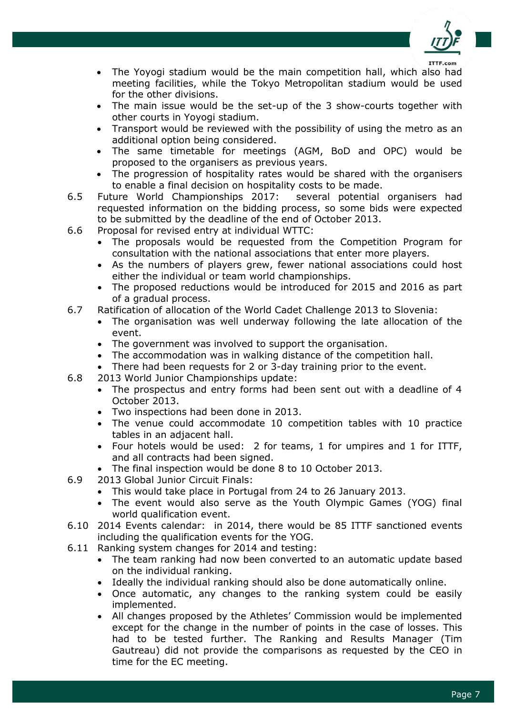

- The Yoyogi stadium would be the main competition hall, which also had meeting facilities, while the Tokyo Metropolitan stadium would be used for the other divisions.
- The main issue would be the set-up of the 3 show-courts together with other courts in Yoyogi stadium.
- Transport would be reviewed with the possibility of using the metro as an additional option being considered.
- The same timetable for meetings (AGM, BoD and OPC) would be proposed to the organisers as previous years.
- The progression of hospitality rates would be shared with the organisers to enable a final decision on hospitality costs to be made.
- 6.5 Future World Championships 2017: several potential organisers had requested information on the bidding process, so some bids were expected to be submitted by the deadline of the end of October 2013.
- 6.6 Proposal for revised entry at individual WTTC:
	- The proposals would be requested from the Competition Program for consultation with the national associations that enter more players.
	- As the numbers of players grew, fewer national associations could host either the individual or team world championships.
	- The proposed reductions would be introduced for 2015 and 2016 as part of a gradual process.
- 6.7 Ratification of allocation of the World Cadet Challenge 2013 to Slovenia:
	- The organisation was well underway following the late allocation of the event.
	- The government was involved to support the organisation.
	- The accommodation was in walking distance of the competition hall.
	- There had been requests for 2 or 3-day training prior to the event.
- 6.8 2013 World Junior Championships update:
	- The prospectus and entry forms had been sent out with a deadline of 4 October 2013.
	- Two inspections had been done in 2013.
	- The venue could accommodate 10 competition tables with 10 practice tables in an adjacent hall.
	- Four hotels would be used: 2 for teams, 1 for umpires and 1 for ITTF, and all contracts had been signed.
	- The final inspection would be done 8 to 10 October 2013.
- 6.9 2013 Global Junior Circuit Finals:
	- This would take place in Portugal from 24 to 26 January 2013.
	- The event would also serve as the Youth Olympic Games (YOG) final world qualification event.
- 6.10 2014 Events calendar: in 2014, there would be 85 ITTF sanctioned events including the qualification events for the YOG.
- 6.11 Ranking system changes for 2014 and testing:
	- The team ranking had now been converted to an automatic update based on the individual ranking.
	- Ideally the individual ranking should also be done automatically online.
	- Once automatic, any changes to the ranking system could be easily implemented.
	- All changes proposed by the Athletes' Commission would be implemented except for the change in the number of points in the case of losses. This had to be tested further. The Ranking and Results Manager (Tim Gautreau) did not provide the comparisons as requested by the CEO in time for the EC meeting.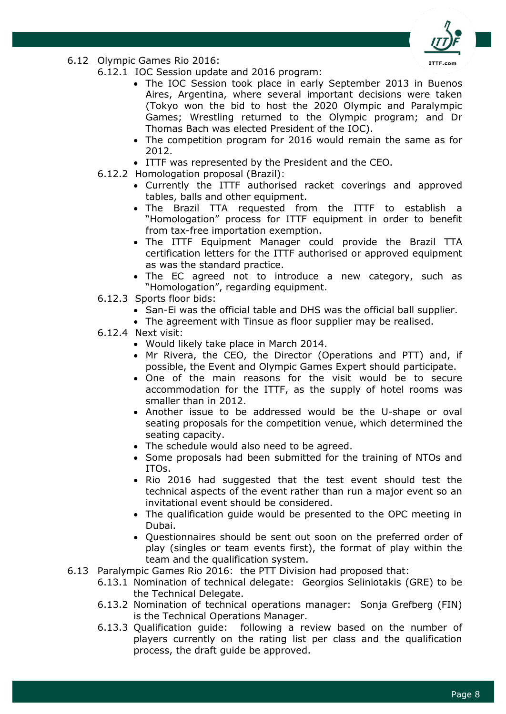

- 6.12 Olympic Games Rio 2016:
	- 6.12.1 IOC Session update and 2016 program:
		- The IOC Session took place in early September 2013 in Buenos Aires, Argentina, where several important decisions were taken (Tokyo won the bid to host the 2020 Olympic and Paralympic Games; Wrestling returned to the Olympic program; and Dr Thomas Bach was elected President of the IOC).
		- The competition program for 2016 would remain the same as for 2012.
		- ITTF was represented by the President and the CEO.
	- 6.12.2 Homologation proposal (Brazil):
		- Currently the ITTF authorised racket coverings and approved tables, balls and other equipment.
		- The Brazil TTA requested from the ITTF to establish a "Homologation" process for ITTF equipment in order to benefit from tax-free importation exemption.
		- The ITTF Equipment Manager could provide the Brazil TTA certification letters for the ITTF authorised or approved equipment as was the standard practice.
		- The EC agreed not to introduce a new category, such as "Homologation", regarding equipment.
	- 6.12.3 Sports floor bids:
		- San-Ei was the official table and DHS was the official ball supplier.
		- The agreement with Tinsue as floor supplier may be realised.
	- 6.12.4 Next visit:
		- Would likely take place in March 2014.
		- Mr Rivera, the CEO, the Director (Operations and PTT) and, if possible, the Event and Olympic Games Expert should participate.
		- One of the main reasons for the visit would be to secure accommodation for the ITTF, as the supply of hotel rooms was smaller than in 2012.
		- Another issue to be addressed would be the U-shape or oval seating proposals for the competition venue, which determined the seating capacity.
		- The schedule would also need to be agreed.
		- Some proposals had been submitted for the training of NTOs and ITOs.
		- Rio 2016 had suggested that the test event should test the technical aspects of the event rather than run a major event so an invitational event should be considered.
		- The qualification guide would be presented to the OPC meeting in Dubai.
		- Questionnaires should be sent out soon on the preferred order of play (singles or team events first), the format of play within the team and the qualification system.
- 6.13 Paralympic Games Rio 2016: the PTT Division had proposed that:
	- 6.13.1 Nomination of technical delegate: Georgios Seliniotakis (GRE) to be the Technical Delegate.
	- 6.13.2 Nomination of technical operations manager: Sonja Grefberg (FIN) is the Technical Operations Manager.
	- 6.13.3 Qualification guide: following a review based on the number of players currently on the rating list per class and the qualification process, the draft guide be approved.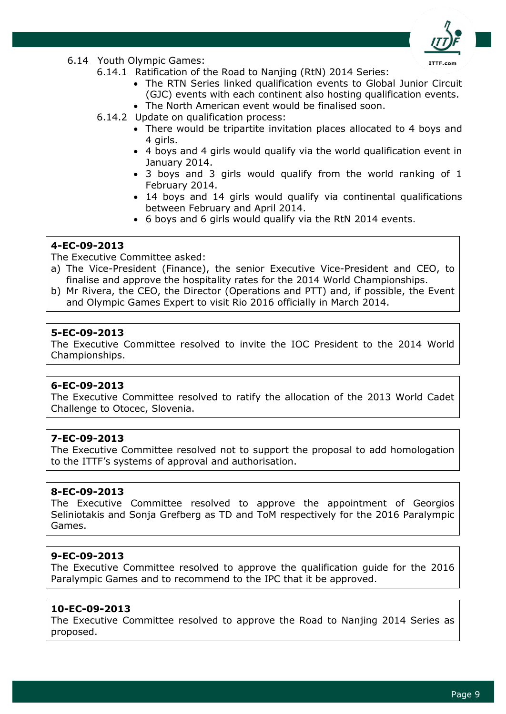

- 6.14 Youth Olympic Games:
	- 6.14.1 Ratification of the Road to Nanjing (RtN) 2014 Series:
		- The RTN Series linked qualification events to Global Junior Circuit (GJC) events with each continent also hosting qualification events. The North American event would be finalised soon.
	- 6.14.2 Update on qualification process:
		- There would be tripartite invitation places allocated to 4 boys and 4 girls.
		- 4 boys and 4 girls would qualify via the world qualification event in January 2014.
		- 3 boys and 3 girls would qualify from the world ranking of 1 February 2014.
		- 14 boys and 14 girls would qualify via continental qualifications between February and April 2014.
		- 6 boys and 6 girls would qualify via the RtN 2014 events.

The Executive Committee asked:

- a) The Vice-President (Finance), the senior Executive Vice-President and CEO, to finalise and approve the hospitality rates for the 2014 World Championships.
- b) Mr Rivera, the CEO, the Director (Operations and PTT) and, if possible, the Event and Olympic Games Expert to visit Rio 2016 officially in March 2014.

## **5-EC-09-2013**

The Executive Committee resolved to invite the IOC President to the 2014 World Championships.

#### **6-EC-09-2013**

The Executive Committee resolved to ratify the allocation of the 2013 World Cadet Challenge to Otocec, Slovenia.

#### **7-EC-09-2013**

The Executive Committee resolved not to support the proposal to add homologation to the ITTF's systems of approval and authorisation.

#### **8-EC-09-2013**

The Executive Committee resolved to approve the appointment of Georgios Seliniotakis and Sonja Grefberg as TD and ToM respectively for the 2016 Paralympic Games.

## **9-EC-09-2013**

The Executive Committee resolved to approve the qualification guide for the 2016 Paralympic Games and to recommend to the IPC that it be approved.

#### **10-EC-09-2013**

The Executive Committee resolved to approve the Road to Nanjing 2014 Series as proposed.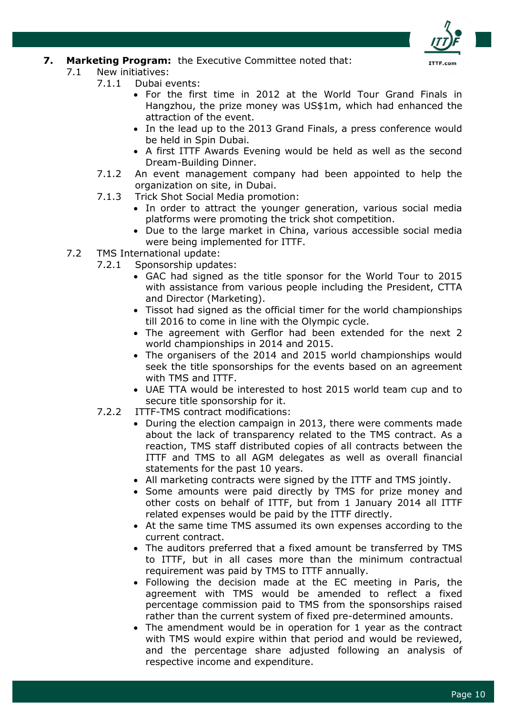

## **7. Marketing Program:** the Executive Committee noted that:

- 7.1 New initiatives:
	- 7.1.1 Dubai events:
		- For the first time in 2012 at the World Tour Grand Finals in Hangzhou, the prize money was US\$1m, which had enhanced the attraction of the event.
		- In the lead up to the 2013 Grand Finals, a press conference would be held in Spin Dubai.
		- A first ITTF Awards Evening would be held as well as the second Dream-Building Dinner.
	- 7.1.2 An event management company had been appointed to help the organization on site, in Dubai.
	- 7.1.3 Trick Shot Social Media promotion:
		- In order to attract the younger generation, various social media platforms were promoting the trick shot competition.
		- Due to the large market in China, various accessible social media were being implemented for ITTF.
- 7.2 TMS International update:
	- 7.2.1 Sponsorship updates:
		- GAC had signed as the title sponsor for the World Tour to 2015 with assistance from various people including the President, CTTA and Director (Marketing).
		- Tissot had signed as the official timer for the world championships till 2016 to come in line with the Olympic cycle.
		- The agreement with Gerflor had been extended for the next 2 world championships in 2014 and 2015.
		- The organisers of the 2014 and 2015 world championships would seek the title sponsorships for the events based on an agreement with TMS and ITTF.
		- UAE TTA would be interested to host 2015 world team cup and to secure title sponsorship for it.
	- 7.2.2 ITTF-TMS contract modifications:
		- During the election campaign in 2013, there were comments made about the lack of transparency related to the TMS contract. As a reaction, TMS staff distributed copies of all contracts between the ITTF and TMS to all AGM delegates as well as overall financial statements for the past 10 years.
		- All marketing contracts were signed by the ITTF and TMS jointly.
		- Some amounts were paid directly by TMS for prize money and other costs on behalf of ITTF, but from 1 January 2014 all ITTF related expenses would be paid by the ITTF directly.
		- At the same time TMS assumed its own expenses according to the current contract.
		- The auditors preferred that a fixed amount be transferred by TMS to ITTF, but in all cases more than the minimum contractual requirement was paid by TMS to ITTF annually.
		- Following the decision made at the EC meeting in Paris, the agreement with TMS would be amended to reflect a fixed percentage commission paid to TMS from the sponsorships raised rather than the current system of fixed pre-determined amounts.
		- The amendment would be in operation for 1 year as the contract with TMS would expire within that period and would be reviewed, and the percentage share adjusted following an analysis of respective income and expenditure.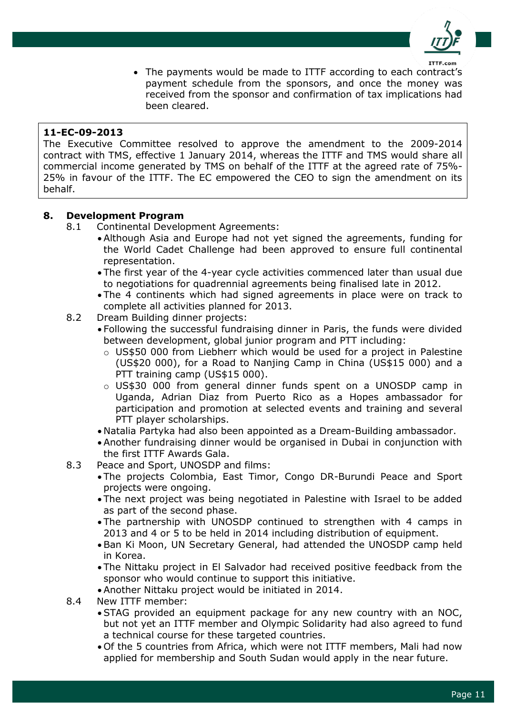

 The payments would be made to ITTF according to each contract's payment schedule from the sponsors, and once the money was received from the sponsor and confirmation of tax implications had been cleared.

## **11-EC-09-2013**

The Executive Committee resolved to approve the amendment to the 2009-2014 contract with TMS, effective 1 January 2014, whereas the ITTF and TMS would share all commercial income generated by TMS on behalf of the ITTF at the agreed rate of 75%- 25% in favour of the ITTF. The EC empowered the CEO to sign the amendment on its behalf.

## **8. Development Program**

- 8.1 Continental Development Agreements:
	- Although Asia and Europe had not yet signed the agreements, funding for the World Cadet Challenge had been approved to ensure full continental representation.
	- The first year of the 4-year cycle activities commenced later than usual due to negotiations for quadrennial agreements being finalised late in 2012.
	- The 4 continents which had signed agreements in place were on track to complete all activities planned for 2013.
- 8.2 Dream Building dinner projects:
	- Following the successful fundraising dinner in Paris, the funds were divided between development, global junior program and PTT including:
		- o US\$50 000 from Liebherr which would be used for a project in Palestine (US\$20 000), for a Road to Nanjing Camp in China (US\$15 000) and a PTT training camp (US\$15 000).
		- o US\$30 000 from general dinner funds spent on a UNOSDP camp in Uganda, Adrian Diaz from Puerto Rico as a Hopes ambassador for participation and promotion at selected events and training and several PTT player scholarships.
	- Natalia Partyka had also been appointed as a Dream-Building ambassador.
	- Another fundraising dinner would be organised in Dubai in conjunction with the first ITTF Awards Gala.
- 8.3 Peace and Sport, UNOSDP and films:
	- The projects Colombia, East Timor, Congo DR-Burundi Peace and Sport projects were ongoing.
	- The next project was being negotiated in Palestine with Israel to be added as part of the second phase.
	- The partnership with UNOSDP continued to strengthen with 4 camps in 2013 and 4 or 5 to be held in 2014 including distribution of equipment.
	- Ban Ki Moon, UN Secretary General, had attended the UNOSDP camp held in Korea.
	- The Nittaku project in El Salvador had received positive feedback from the sponsor who would continue to support this initiative.
	- Another Nittaku project would be initiated in 2014.
- 8.4 New ITTF member:
	- STAG provided an equipment package for any new country with an NOC, but not yet an ITTF member and Olympic Solidarity had also agreed to fund a technical course for these targeted countries.
	- Of the 5 countries from Africa, which were not ITTF members, Mali had now applied for membership and South Sudan would apply in the near future.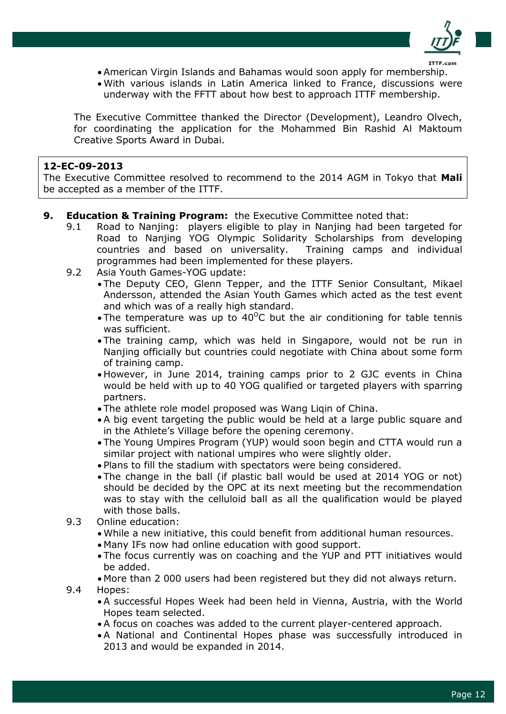

- American Virgin Islands and Bahamas would soon apply for membership.
- With various islands in Latin America linked to France, discussions were underway with the FFTT about how best to approach ITTF membership.

The Executive Committee thanked the Director (Development), Leandro Olvech, for coordinating the application for the Mohammed Bin Rashid Al Maktoum Creative Sports Award in Dubai.

#### **12-EC-09-2013**

The Executive Committee resolved to recommend to the 2014 AGM in Tokyo that **Mali** be accepted as a member of the ITTF.

- **9. Education & Training Program:** the Executive Committee noted that:
	- 9.1 Road to Nanjing: players eligible to play in Nanjing had been targeted for Road to Nanjing YOG Olympic Solidarity Scholarships from developing countries and based on universality. Training camps and individual programmes had been implemented for these players.
	- 9.2 Asia Youth Games-YOG update:
		- The Deputy CEO, Glenn Tepper, and the ITTF Senior Consultant, Mikael Andersson, attended the Asian Youth Games which acted as the test event and which was of a really high standard.
		- The temperature was up to 40<sup>o</sup>C but the air conditioning for table tennis was sufficient.
		- The training camp, which was held in Singapore, would not be run in Nanjing officially but countries could negotiate with China about some form of training camp.
		- However, in June 2014, training camps prior to 2 GJC events in China would be held with up to 40 YOG qualified or targeted players with sparring partners.
		- The athlete role model proposed was Wang Liqin of China.
		- A big event targeting the public would be held at a large public square and in the Athlete's Village before the opening ceremony.
		- The Young Umpires Program (YUP) would soon begin and CTTA would run a similar project with national umpires who were slightly older.
		- Plans to fill the stadium with spectators were being considered.
		- The change in the ball (if plastic ball would be used at 2014 YOG or not) should be decided by the OPC at its next meeting but the recommendation was to stay with the celluloid ball as all the qualification would be played with those balls.
	- 9.3 Online education:
		- While a new initiative, this could benefit from additional human resources.
		- Many IFs now had online education with good support.
		- The focus currently was on coaching and the YUP and PTT initiatives would be added.
	- More than 2 000 users had been registered but they did not always return. 9.4 Hopes:
		- A successful Hopes Week had been held in Vienna, Austria, with the World Hopes team selected.
		- A focus on coaches was added to the current player-centered approach.
		- A National and Continental Hopes phase was successfully introduced in 2013 and would be expanded in 2014.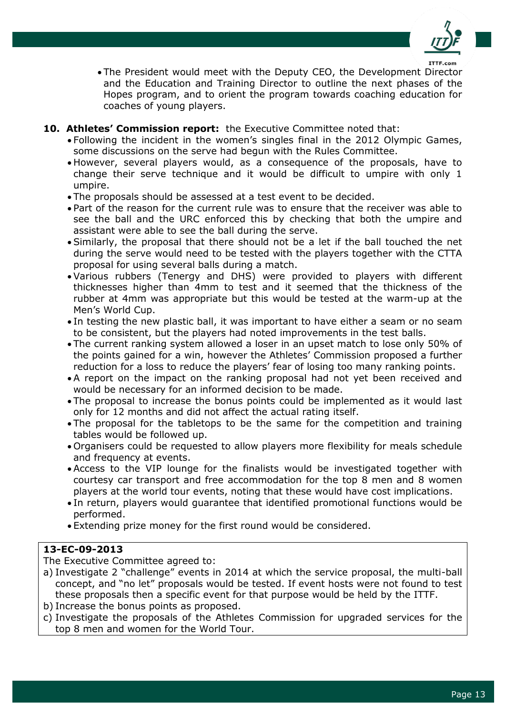

- The President would meet with the Deputy CEO, the Development Director and the Education and Training Director to outline the next phases of the Hopes program, and to orient the program towards coaching education for coaches of young players.
- **10. Athletes' Commission report:** the Executive Committee noted that:
	- Following the incident in the women's singles final in the 2012 Olympic Games, some discussions on the serve had begun with the Rules Committee.
	- However, several players would, as a consequence of the proposals, have to change their serve technique and it would be difficult to umpire with only 1 umpire.
	- The proposals should be assessed at a test event to be decided.
	- Part of the reason for the current rule was to ensure that the receiver was able to see the ball and the URC enforced this by checking that both the umpire and assistant were able to see the ball during the serve.
	- Similarly, the proposal that there should not be a let if the ball touched the net during the serve would need to be tested with the players together with the CTTA proposal for using several balls during a match.
	- Various rubbers (Tenergy and DHS) were provided to players with different thicknesses higher than 4mm to test and it seemed that the thickness of the rubber at 4mm was appropriate but this would be tested at the warm-up at the Men's World Cup.
	- In testing the new plastic ball, it was important to have either a seam or no seam to be consistent, but the players had noted improvements in the test balls.
	- The current ranking system allowed a loser in an upset match to lose only 50% of the points gained for a win, however the Athletes' Commission proposed a further reduction for a loss to reduce the players' fear of losing too many ranking points.
	- A report on the impact on the ranking proposal had not yet been received and would be necessary for an informed decision to be made.
	- The proposal to increase the bonus points could be implemented as it would last only for 12 months and did not affect the actual rating itself.
	- The proposal for the tabletops to be the same for the competition and training tables would be followed up.
	- Organisers could be requested to allow players more flexibility for meals schedule and frequency at events.
	- Access to the VIP lounge for the finalists would be investigated together with courtesy car transport and free accommodation for the top 8 men and 8 women players at the world tour events, noting that these would have cost implications.
	- In return, players would guarantee that identified promotional functions would be performed.
	- Extending prize money for the first round would be considered.

The Executive Committee agreed to:

- a) Investigate 2 "challenge" events in 2014 at which the service proposal, the multi-ball concept, and "no let" proposals would be tested. If event hosts were not found to test these proposals then a specific event for that purpose would be held by the ITTF.
- b) Increase the bonus points as proposed.
- c) Investigate the proposals of the Athletes Commission for upgraded services for the top 8 men and women for the World Tour.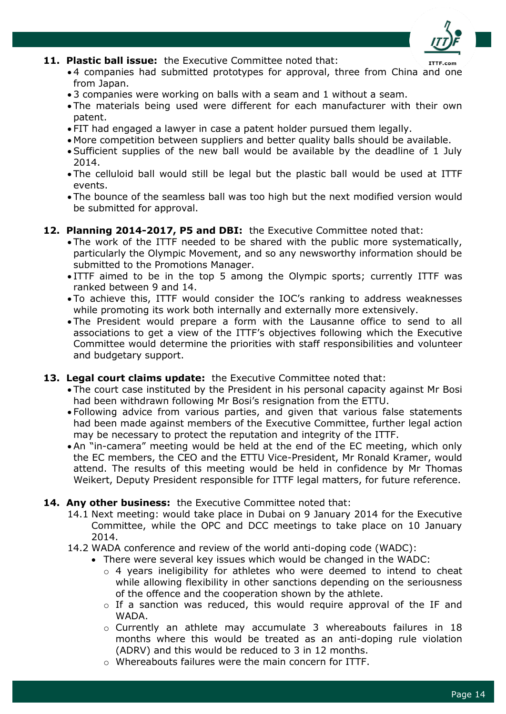

#### **11. Plastic ball issue:** the Executive Committee noted that:

- 4 companies had submitted prototypes for approval, three from China and one from Japan.
- 3 companies were working on balls with a seam and 1 without a seam.
- The materials being used were different for each manufacturer with their own patent.
- FIT had engaged a lawyer in case a patent holder pursued them legally.
- More competition between suppliers and better quality balls should be available.
- Sufficient supplies of the new ball would be available by the deadline of 1 July 2014.
- The celluloid ball would still be legal but the plastic ball would be used at ITTF events.
- The bounce of the seamless ball was too high but the next modified version would be submitted for approval.

## **12. Planning 2014-2017, P5 and DBI:** the Executive Committee noted that:

- The work of the ITTF needed to be shared with the public more systematically, particularly the Olympic Movement, and so any newsworthy information should be submitted to the Promotions Manager.
- ITTF aimed to be in the top 5 among the Olympic sports; currently ITTF was ranked between 9 and 14.
- To achieve this, ITTF would consider the IOC's ranking to address weaknesses while promoting its work both internally and externally more extensively.
- The President would prepare a form with the Lausanne office to send to all associations to get a view of the ITTF's objectives following which the Executive Committee would determine the priorities with staff responsibilities and volunteer and budgetary support.

#### **13. Legal court claims update:** the Executive Committee noted that:

- The court case instituted by the President in his personal capacity against Mr Bosi had been withdrawn following Mr Bosi's resignation from the ETTU.
- Following advice from various parties, and given that various false statements had been made against members of the Executive Committee, further legal action may be necessary to protect the reputation and integrity of the ITTF.
- An "in-camera" meeting would be held at the end of the EC meeting, which only the EC members, the CEO and the ETTU Vice-President, Mr Ronald Kramer, would attend. The results of this meeting would be held in confidence by Mr Thomas Weikert, Deputy President responsible for ITTF legal matters, for future reference.

#### **14. Any other business:** the Executive Committee noted that:

- 14.1 Next meeting: would take place in Dubai on 9 January 2014 for the Executive Committee, while the OPC and DCC meetings to take place on 10 January 2014.
- 14.2 WADA conference and review of the world anti-doping code (WADC):
	- There were several key issues which would be changed in the WADC:
		- o 4 years ineligibility for athletes who were deemed to intend to cheat while allowing flexibility in other sanctions depending on the seriousness of the offence and the cooperation shown by the athlete.
		- $\circ$  If a sanction was reduced, this would require approval of the IF and WADA.
		- o Currently an athlete may accumulate 3 whereabouts failures in 18 months where this would be treated as an anti-doping rule violation (ADRV) and this would be reduced to 3 in 12 months.
		- o Whereabouts failures were the main concern for ITTF.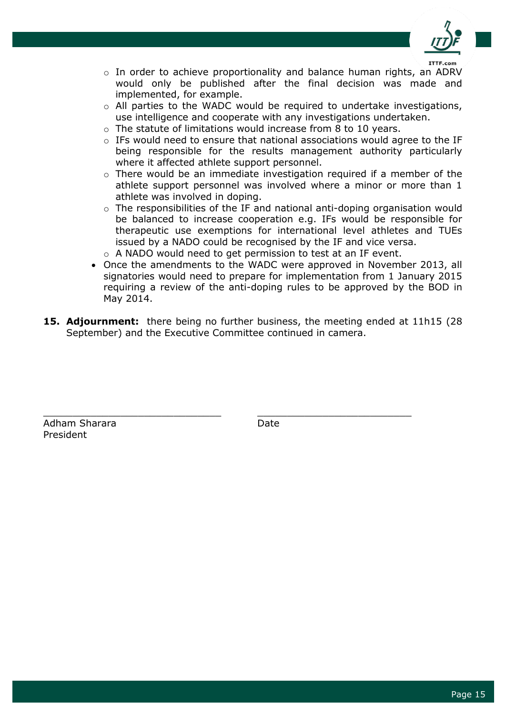

- o In order to achieve proportionality and balance human rights, an ADRV would only be published after the final decision was made and implemented, for example.
- o All parties to the WADC would be required to undertake investigations, use intelligence and cooperate with any investigations undertaken.
- o The statute of limitations would increase from 8 to 10 years.
- $\circ$  IFs would need to ensure that national associations would agree to the IF being responsible for the results management authority particularly where it affected athlete support personnel.
- $\circ$  There would be an immediate investigation required if a member of the athlete support personnel was involved where a minor or more than 1 athlete was involved in doping.
- o The responsibilities of the IF and national anti-doping organisation would be balanced to increase cooperation e.g. IFs would be responsible for therapeutic use exemptions for international level athletes and TUEs issued by a NADO could be recognised by the IF and vice versa.
- o A NADO would need to get permission to test at an IF event.
- Once the amendments to the WADC were approved in November 2013, all signatories would need to prepare for implementation from 1 January 2015 requiring a review of the anti-doping rules to be approved by the BOD in May 2014.
- **15. Adjournment:** there being no further business, the meeting ended at 11h15 (28 September) and the Executive Committee continued in camera.

Adham Sharara **Date** Date President

\_\_\_\_\_\_\_\_\_\_\_\_\_\_\_\_\_\_\_\_\_\_\_\_\_\_\_\_\_\_ \_\_\_\_\_\_\_\_\_\_\_\_\_\_\_\_\_\_\_\_\_\_\_\_\_\_